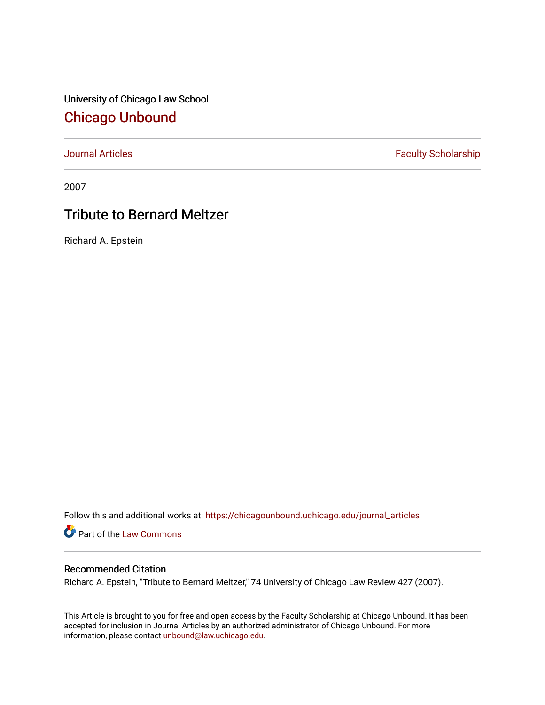University of Chicago Law School [Chicago Unbound](https://chicagounbound.uchicago.edu/)

[Journal Articles](https://chicagounbound.uchicago.edu/journal_articles) **Faculty Scholarship Faculty Scholarship** 

2007

## Tribute to Bernard Meltzer

Richard A. Epstein

Follow this and additional works at: [https://chicagounbound.uchicago.edu/journal\\_articles](https://chicagounbound.uchicago.edu/journal_articles?utm_source=chicagounbound.uchicago.edu%2Fjournal_articles%2F7286&utm_medium=PDF&utm_campaign=PDFCoverPages) 

Part of the [Law Commons](http://network.bepress.com/hgg/discipline/578?utm_source=chicagounbound.uchicago.edu%2Fjournal_articles%2F7286&utm_medium=PDF&utm_campaign=PDFCoverPages)

## Recommended Citation

Richard A. Epstein, "Tribute to Bernard Meltzer," 74 University of Chicago Law Review 427 (2007).

This Article is brought to you for free and open access by the Faculty Scholarship at Chicago Unbound. It has been accepted for inclusion in Journal Articles by an authorized administrator of Chicago Unbound. For more information, please contact [unbound@law.uchicago.edu](mailto:unbound@law.uchicago.edu).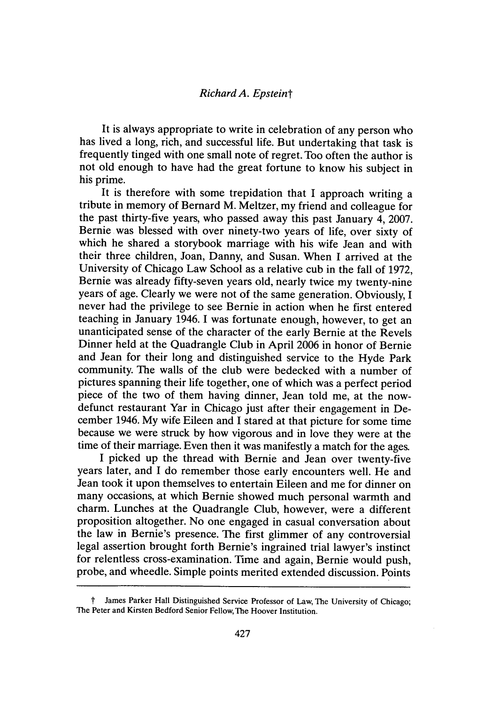## *Richard A. Epsteint*

It is always appropriate to write in celebration of any person who has lived a long, rich, and successful life. But undertaking that task is frequently tinged with one small note of regret. Too often the author is not old enough to have had the great fortune to know his subject in his prime.

It is therefore with some trepidation that I approach writing a tribute in memory of Bernard M. Meltzer, my friend and colleague for the past thirty-five years, who passed away this past January 4, 2007. Bernie was blessed with over ninety-two years of life, over sixty of which he shared a storybook marriage with his wife Jean and with their three children, Joan, Danny, and Susan. When I arrived at the University of Chicago Law School as a relative cub in the fall of 1972, Bernie was already fifty-seven years old, nearly twice my twenty-nine years of age. Clearly we were not of the same generation. Obviously, I never had the privilege to see Bernie in action when he first entered teaching in January 1946. I was fortunate enough, however, to get an unanticipated sense of the character of the early Bernie at the Revels Dinner held at the Quadrangle Club in April 2006 in honor of Bernie and Jean for their long and distinguished service to the Hyde Park community. The walls of the club were bedecked with a number of pictures spanning their life together, one of which was a perfect period piece of the two of them having dinner, Jean told me, at the nowdefunct restaurant Yar in Chicago just after their engagement in December 1946. My wife Eileen and I stared at that picture for some time because we were struck by how vigorous and in love they were at the time of their marriage. Even then it was manifestly a match for the ages.

I picked up the thread with Bernie and Jean over twenty-five years later, and I do remember those early encounters well. He and Jean took it upon themselves to entertain Eileen and me for dinner on many occasions, at which Bernie showed much personal warmth and charm. Lunches at the Quadrangle Club, however, were a different proposition altogether. No one engaged in casual conversation about the law in Bernie's presence. The first glimmer of any controversial legal assertion brought forth Bernie's ingrained trial lawyer's instinct for relentless cross-examination. Time and again, Bernie would push, probe, and wheedle. Simple points merited extended discussion. Points

t James Parker Hall Distinguished Service Professor of Law, The University of Chicago; The Peter and Kirsten Bedford Senior Fellow, The Hoover Institution.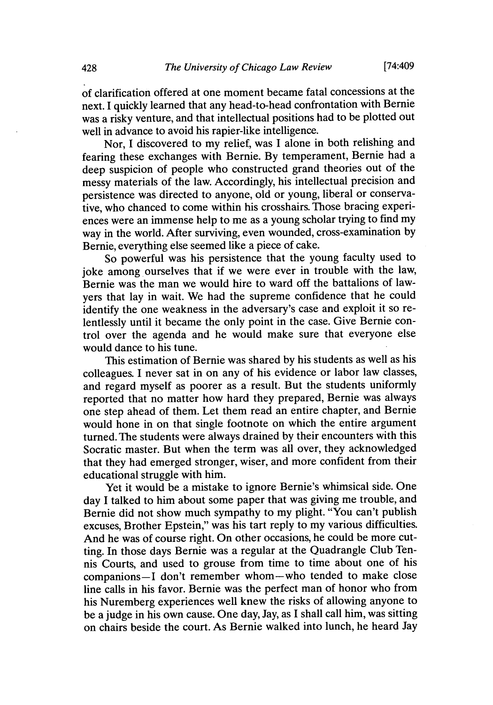of clarification offered at one moment became fatal concessions at the next. I quickly learned that any head-to-head confrontation with Bernie was a risky venture, and that intellectual positions had to be plotted out well in advance to avoid his rapier-like intelligence.

Nor, I discovered to my relief, was I alone in both relishing and fearing these exchanges with Bernie. By temperament, Bernie had a deep suspicion of people who constructed grand theories out of the messy materials of the law. Accordingly, his intellectual precision and persistence was directed to anyone, old or young, liberal or conservative, who chanced to come within his crosshairs. Those bracing experiences were an immense help to me as a young scholar trying to find my way in the world. After surviving, even wounded, cross-examination by Bernie, everything else seemed like a piece of cake.

So powerful was his persistence that the young faculty used to joke among ourselves that if we were ever in trouble with the law, Bernie was the man we would hire to ward off the battalions of lawyers that lay in wait. We had the supreme confidence that he could identify the one weakness in the adversary's case and exploit it so relentlessly until it became the only point in the case. Give Bernie control over the agenda and he would make sure that everyone else would dance to his tune.

This estimation of Bernie was shared by his students as well as his colleagues. I never sat in on any of his evidence or labor law classes, and regard myself as poorer as a result. But the students uniformly reported that no matter how hard they prepared, Bernie was always one step ahead of them. Let them read an entire chapter, and Bernie would hone in on that single footnote on which the entire argument turned. The students were always drained by their encounters with this Socratic master. But when the term was all over, they acknowledged that they had emerged stronger, wiser, and more confident from their educational struggle with him.

Yet it would be a mistake to ignore Bernie's whimsical side. One day I talked to him about some paper that was giving me trouble, and Bernie did not show much sympathy to my plight. "You can't publish excuses, Brother Epstein," was his tart reply to my various difficulties. And he was of course right. On other occasions, he could be more cutting. In those days Bernie was a regular at the Quadrangle Club Tennis Courts, and used to grouse from time to time about one of his companions-I don't remember whom-who tended to make close line calls in his favor. Bernie was the perfect man of honor who from his Nuremberg experiences well knew the risks of allowing anyone to be a judge in his own cause. One day, Jay, as I shall call him, was sitting on chairs beside the court. As Bernie walked into lunch, he heard Jay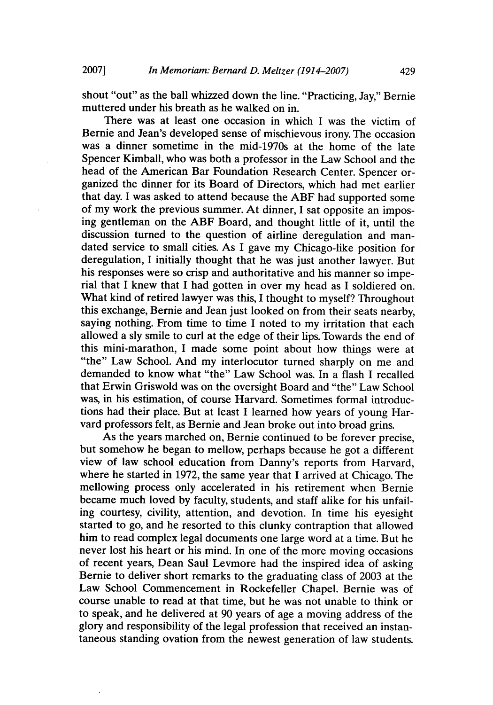shout "out" as the ball whizzed down the line. "Practicing, Jay," Bernie muttered under his breath as he walked on in.

There was at least one occasion in which I was the victim of Bernie and Jean's developed sense of mischievous irony. The occasion was a dinner sometime in the mid-1970s at the home of the late Spencer Kimball, who was both a professor in the Law School and the head of the American Bar Foundation Research Center. Spencer organized the dinner for its Board of Directors, which had met earlier that day. I was asked to attend because the ABF had supported some of my work the previous summer. At dinner, I sat opposite an imposing gentleman on the ABF Board, and thought little of it, until the discussion turned to the question of airline deregulation and mandated service to small cities. As I gave my Chicago-like position for deregulation, I initially thought that he was just another lawyer. But his responses were so crisp and authoritative and his manner so imperial that I knew that I had gotten in over my head as I soldiered on. What kind of retired lawyer was this, I thought to myself? Throughout this exchange, Bernie and Jean just looked on from their seats nearby, saying nothing. From time to time I noted to my irritation that each allowed a sly smile to curl at the edge of their lips. Towards the end of this mini-marathon, I made some point about how things were at "the" Law School. And my interlocutor turned sharply on me and demanded to know what "the" Law School was. In a flash I recalled that Erwin Griswold was on the oversight Board and "the" Law School was, in his estimation, of course Harvard. Sometimes formal introductions had their place. But at least I learned how years of young Harvard professors felt, as Bernie and Jean broke out into broad grins.

As the years marched on, Bernie continued to be forever precise, but somehow he began to mellow, perhaps because he got a different view of law school education from Danny's reports from Harvard, where he started in 1972, the same year that I arrived at Chicago. The mellowing process only accelerated in his retirement when Bernie became much loved by faculty, students, and staff alike for his unfailing courtesy, civility, attention, and devotion. In time his eyesight started to go, and he resorted to this clunky contraption that allowed him to read complex legal documents one large word at a time. But he never lost his heart or his mind. In one of the more moving occasions of recent years, Dean Saul Levmore had the inspired idea of asking Bernie to deliver short remarks to the graduating class of 2003 at the Law School Commencement in Rockefeller Chapel. Bernie was of course unable to read at that time, but he was not unable to think or to speak, and he delivered at 90 years of age a moving address of the glory and responsibility of the legal profession that received an instantaneous standing ovation from the newest generation of law students.